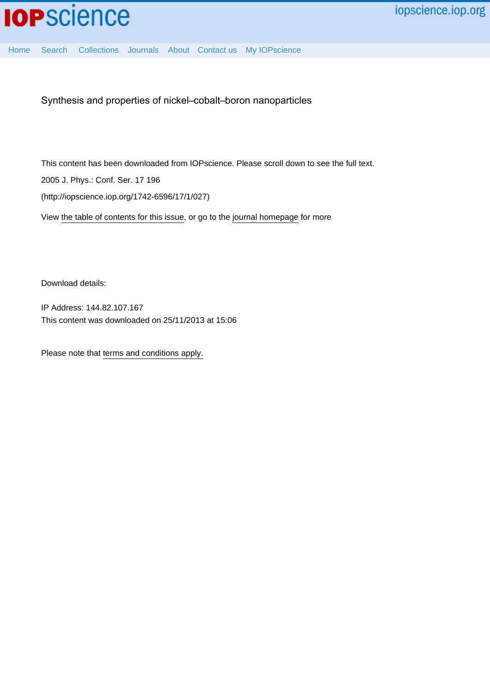[Home](http://iopscience.iop.org/) [Search](http://iopscience.iop.org/search) [Collections](http://iopscience.iop.org/collections) [Journals](http://iopscience.iop.org/journals) [About](http://iopscience.iop.org/page/aboutioppublishing) [Contact us](http://iopscience.iop.org/contact) [My IOPscience](http://iopscience.iop.org/myiopscience)

Synthesis and properties of nickel–cobalt–boron nanoparticles

This content has been downloaded from IOPscience. Please scroll down to see the full text. 2005 J. Phys.: Conf. Ser. 17 196 (http://iopscience.iop.org/1742-6596/17/1/027)

View [the table of contents for this issue](http://iopscience.iop.org/1742-6596/17/1), or go to the [journal homepage](http://iopscience.iop.org/1742-6596) for more

Download details:

IP Address: 144.82.107.167 This content was downloaded on 25/11/2013 at 15:06

Please note that [terms and conditions apply.](iopscience.iop.org/page/terms)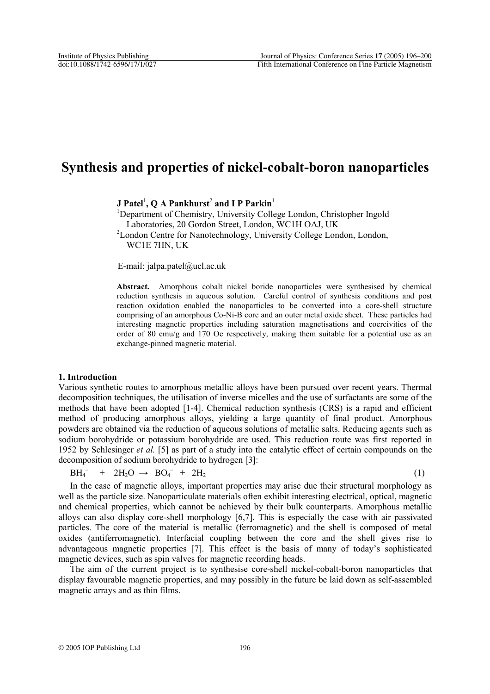# **Synthesis and properties of nickel-cobalt-boron nanoparticles**

**J** Patel<sup>1</sup>, Q A Pankhurst<sup>2</sup> and I P Parkin<sup>1</sup>

<sup>1</sup>Department of Chemistry, University College London, Christopher Ingold Laboratories, 20 Gordon Street, London, WC1H OAJ, UK

<sup>2</sup> London Centre for Nanotechnology, University College London, London, WC1E 7HN, UK

E-mail: jalpa.patel@ucl.ac.uk

**Abstract.** Amorphous cobalt nickel boride nanoparticles were synthesised by chemical reduction synthesis in aqueous solution. Careful control of synthesis conditions and post reaction oxidation enabled the nanoparticles to be converted into a core-shell structure comprising of an amorphous Co-Ni-B core and an outer metal oxide sheet. These particles had interesting magnetic properties including saturation magnetisations and coercivities of the order of 80 emu/g and 170 Oe respectively, making them suitable for a potential use as an exchange-pinned magnetic material.

# **1. Introduction**

Various synthetic routes to amorphous metallic alloys have been pursued over recent years. Thermal decomposition techniques, the utilisation of inverse micelles and the use of surfactants are some of the methods that have been adopted [1-4]. Chemical reduction synthesis (CRS) is a rapid and efficient method of producing amorphous alloys, yielding a large quantity of final product. Amorphous powders are obtained via the reduction of aqueous solutions of metallic salts. Reducing agents such as sodium borohydride or potassium borohydride are used. This reduction route was first reported in 1952 by Schlesinger *et al.* [5] as part of a study into the catalytic effect of certain compounds on the decomposition of sodium borohydride to hydrogen [3]:

 $BH_4^ + 2H_2O \rightarrow BO_4^- + 2H_2$  (1)

In the case of magnetic alloys, important properties may arise due their structural morphology as well as the particle size. Nanoparticulate materials often exhibit interesting electrical, optical, magnetic and chemical properties, which cannot be achieved by their bulk counterparts. Amorphous metallic alloys can also display core-shell morphology [6,7]. This is especially the case with air passivated particles. The core of the material is metallic (ferromagnetic) and the shell is composed of metal oxides (antiferromagnetic). Interfacial coupling between the core and the shell gives rise to advantageous magnetic properties [7]. This effect is the basis of many of today's sophisticated magnetic devices, such as spin valves for magnetic recording heads.

The aim of the current project is to synthesise core-shell nickel-cobalt-boron nanoparticles that display favourable magnetic properties, and may possibly in the future be laid down as self-assembled magnetic arrays and as thin films.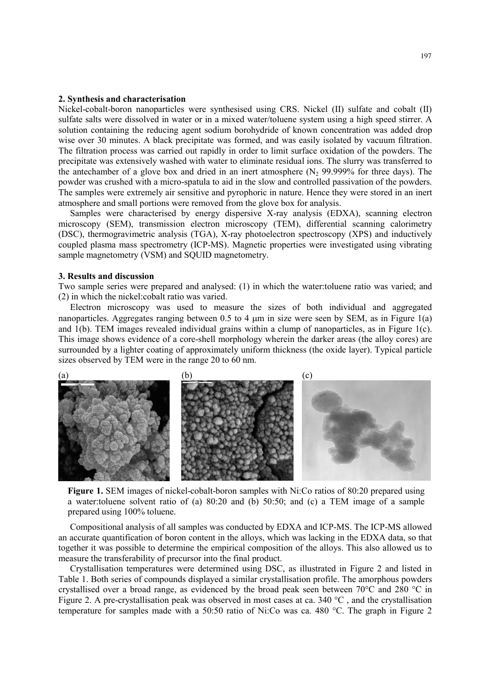### **2. Synthesis and characterisation**

Nickel-cobalt-boron nanoparticles were synthesised using CRS. Nickel (II) sulfate and cobalt (II) sulfate salts were dissolved in water or in a mixed water/toluene system using a high speed stirrer. A solution containing the reducing agent sodium borohydride of known concentration was added drop wise over 30 minutes. A black precipitate was formed, and was easily isolated by vacuum filtration. The filtration process was carried out rapidly in order to limit surface oxidation of the powders. The precipitate was extensively washed with water to eliminate residual ions. The slurry was transferred to the antechamber of a glove box and dried in an inert atmosphere  $(N_2 99.999\%$  for three days). The powder was crushed with a micro-spatula to aid in the slow and controlled passivation of the powders. The samples were extremely air sensitive and pyrophoric in nature. Hence they were stored in an inert atmosphere and small portions were removed from the glove box for analysis.

Samples were characterised by energy dispersive X-ray analysis (EDXA), scanning electron microscopy (SEM), transmission electron microscopy (TEM), differential scanning calorimetry (DSC), thermogravimetric analysis (TGA), X-ray photoelectron spectroscopy (XPS) and inductively coupled plasma mass spectrometry (ICP-MS). Magnetic properties were investigated using vibrating sample magnetometry (VSM) and SQUID magnetometry.

# **3. Results and discussion**

Two sample series were prepared and analysed: (1) in which the water:toluene ratio was varied; and (2) in which the nickel:cobalt ratio was varied.

Electron microscopy was used to measure the sizes of both individual and aggregated nanoparticles. Aggregates ranging between 0.5 to 4  $\mu$ m in size were seen by SEM, as in Figure 1(a) and 1(b). TEM images revealed individual grains within a clump of nanoparticles, as in Figure 1(c). This image shows evidence of a core-shell morphology wherein the darker areas (the alloy cores) are surrounded by a lighter coating of approximately uniform thickness (the oxide layer). Typical particle sizes observed by TEM were in the range 20 to 60 nm.



Figure 1. SEM images of nickel-cobalt-boron samples with Ni:Co ratios of 80:20 prepared using a water:toluene solvent ratio of (a)  $80:20$  and (b)  $50:50$ ; and (c) a TEM image of a sample prepared using 100% toluene.

Compositional analysis of all samples was conducted by EDXA and ICP-MS. The ICP-MS allowed an accurate quantification of boron content in the alloys, which was lacking in the EDXA data, so that together it was possible to determine the empirical composition of the alloys. This also allowed us to measure the transferability of precursor into the final product.

Crystallisation temperatures were determined using DSC, as illustrated in Figure 2 and listed in Table 1. Both series of compounds displayed a similar crystallisation profile. The amorphous powders crystallised over a broad range, as evidenced by the broad peak seen between  $70^{\circ}$ C and 280  $^{\circ}$ C in Figure 2. A pre-crystallisation peak was observed in most cases at ca. 340  $^{\circ}$ C , and the crystallisation temperature for samples made with a 50:50 ratio of Ni:Co was ca. 480 °C. The graph in Figure 2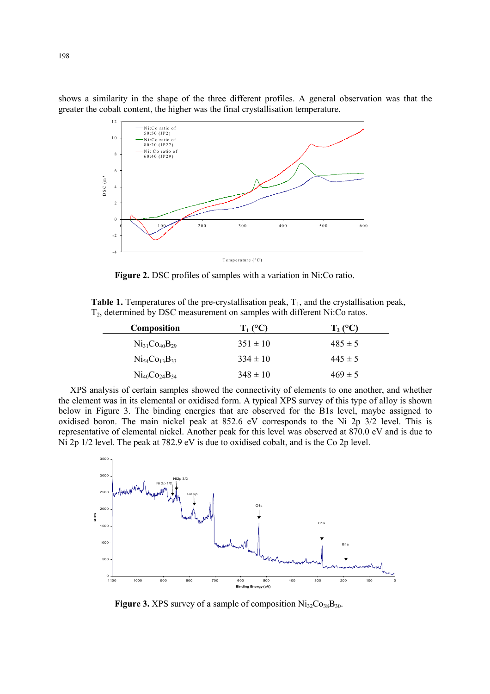shows a similarity in the shape of the three different profiles. A general observation was that the greater the cobalt content, the higher was the final crystallisation temperature.



**Figure 2.** DSC profiles of samples with a variation in Ni:Co ratio.

**Table 1.** Temperatures of the pre-crystallisation peak,  $T_1$ , and the crystallisation peak, T<sub>2</sub>, determined by DSC measurement on samples with different Ni:Co ratos.

| T1 (°C)      | $T_2$ (°C)  |
|--------------|-------------|
| $351 \pm 10$ | $485 \pm 5$ |
| $334 \pm 10$ | $445 \pm 5$ |
| $348 \pm 10$ | $469 \pm 5$ |
|              |             |

XPS analysis of certain samples showed the connectivity of elements to one another, and whether the element was in its elemental or oxidised form. A typical XPS survey of this type of alloy is shown below in Figure 3. The binding energies that are observed for the B1s level, maybe assigned to oxidised boron. The main nickel peak at 852.6 eV corresponds to the Ni 2p 3/2 level. This is representative of elemental nickel. Another peak for this level was observed at 870.0 eV and is due to Ni 2p 1/2 level. The peak at 782.9 eV is due to oxidised cobalt, and is the Co 2p level.



**Figure 3.** XPS survey of a sample of composition  $Ni_{32}Co_{38}B_{30}$ .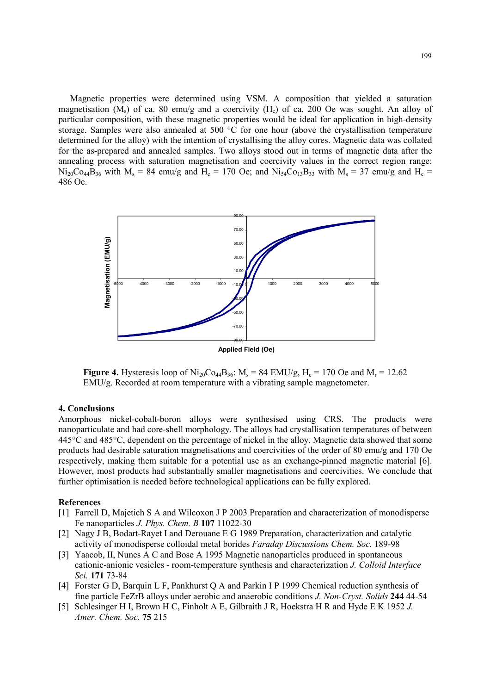Magnetic properties were determined using VSM. A composition that yielded a saturation magnetisation (M<sub>s</sub>) of ca. 80 emu/g and a coercivity (H<sub>c</sub>) of ca. 200 Oe was sought. An alloy of particular composition, with these magnetic properties would be ideal for application in high-density storage. Samples were also annealed at 500 °C for one hour (above the crystallisation temperature determined for the alloy) with the intention of crystallising the alloy cores. Magnetic data was collated for the as-prepared and annealed samples. Two alloys stood out in terms of magnetic data after the annealing process with saturation magnetisation and coercivity values in the correct region range:  $Ni_{20}Co_{44}B_{36}$  with  $M_s = 84$  emu/g and  $H_c = 170$  Oe; and  $Ni_{54}Co_{13}B_{33}$  with  $M_s = 37$  emu/g and  $H_c =$ 486 Oe.



**Figure 4.** Hysteresis loop of  $\text{Ni}_{20}\text{Co}_{44}\text{B}_{36}$ :  $\text{M}_s = 84$  EMU/g,  $\text{H}_c = 170$  Oe and  $\text{M}_r = 12.62$ EMU/g. Recorded at room temperature with a vibrating sample magnetometer.

# **4. Conclusions**

Amorphous nickel-cobalt-boron alloys were synthesised using CRS. The products were nanoparticulate and had core-shell morphology. The alloys had crystallisation temperatures of between 445°C and 485°C, dependent on the percentage of nickel in the alloy. Magnetic data showed that some products had desirable saturation magnetisations and coercivities of the order of 80 emu/g and 170 Oe respectively, making them suitable for a potential use as an exchange-pinned magnetic material [6]. However, most products had substantially smaller magnetisations and coercivities. We conclude that further optimisation is needed before technological applications can be fully explored.

#### **References**

- [1] Farrell D, Majetich S A and Wilcoxon J P 2003 Preparation and characterization of monodisperse Fe nanoparticles *J. Phys. Chem. B* **107** 11022-30
- [2] Nagy J B, Bodart-Rayet I and Derouane E G 1989 Preparation, characterization and catalytic activity of monodisperse colloidal metal borides *Faraday Discussions Chem. Soc.* 189-98
- [3] Yaacob, II, Nunes A C and Bose A 1995 Magnetic nanoparticles produced in spontaneous cationic-anionic vesicles - room-temperature synthesis and characterization *J. Colloid Interface Sci.* **171** 73-84
- [4] Forster G D, Barquin L F, Pankhurst Q A and Parkin I P 1999 Chemical reduction synthesis of fine particle FeZrB alloys under aerobic and anaerobic conditions *J. Non-Cryst. Solids* **244** 44-54
- [5] Schlesinger H I, Brown H C, Finholt A E, Gilbraith J R, Hoekstra H R and Hyde E K 1952 *J. Amer. Chem. Soc.* **75** 215